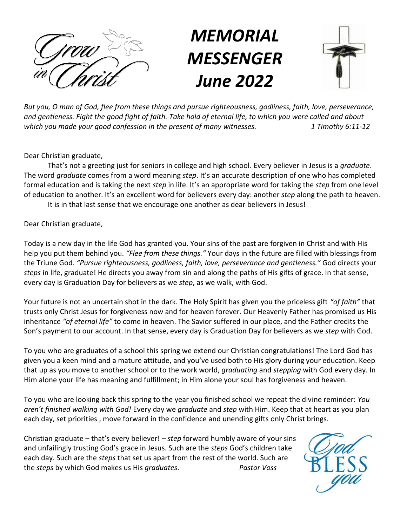

# *MEMORIAL MESSENGER June 2022*



*But you, O man of God, flee from these things and pursue righteousness, godliness, faith, love, perseverance, and gentleness. Fight the good fight of faith. Take hold of eternal life, to which you were called and about which you made your good confession in the present of many witnesses. 1 Timothy 6:11-12*

Dear Christian graduate,

That's not a greeting just for seniors in college and high school. Every believer in Jesus is a *graduate*. The word *graduate* comes from a word meaning *step*. It's an accurate description of one who has completed formal education and is taking the next *step* in life. It's an appropriate word for taking the *step* from one level of education to another. It's an excellent word for believers every day: another *step* along the path to heaven.

It is in that last sense that we encourage one another as dear believers in Jesus!

Dear Christian graduate,

Today is a new day in the life God has granted you. Your sins of the past are forgiven in Christ and with His help you put them behind you. *"Flee from these things."* Your days in the future are filled with blessings from the Triune God. *"Pursue righteousness, godliness, faith, love, perseverance and gentleness."* God directs your *steps* in life, graduate! He directs you away from sin and along the paths of His gifts of grace. In that sense, every day is Graduation Day for believers as we *step*, as we walk, with God.

Your future is not an uncertain shot in the dark. The Holy Spirit has given you the priceless gift *"of faith"* that trusts only Christ Jesus for forgiveness now and for heaven forever. Our Heavenly Father has promised us His inheritance *"of eternal life"* to come in heaven. The Savior suffered in our place, and the Father credits the Son's payment to our account. In that sense, every day is Graduation Day for believers as we *step* with God.

To you who are graduates of a school this spring we extend our Christian congratulations! The Lord God has given you a keen mind and a mature attitude, and you've used both to His glory during your education. Keep that up as you move to another school or to the work world, *graduating* and *stepping* with God every day. In Him alone your life has meaning and fulfillment; in Him alone your soul has forgiveness and heaven.

To you who are looking back this spring to the year you finished school we repeat the divine reminder: *You aren't finished walking with God!* Every day we *graduate* and *step* with Him. Keep that at heart as you plan each day, set priorities , move forward in the confidence and unending gifts only Christ brings.

Christian graduate – that's every believer! – *step* forward humbly aware of your sins and unfailingly trusting God's grace in Jesus. Such are the *steps* God's children take each day. Such are the *steps* that set us apart from the rest of the world. Such are the *steps* by which God makes us His *graduates*. *Pastor Voss*

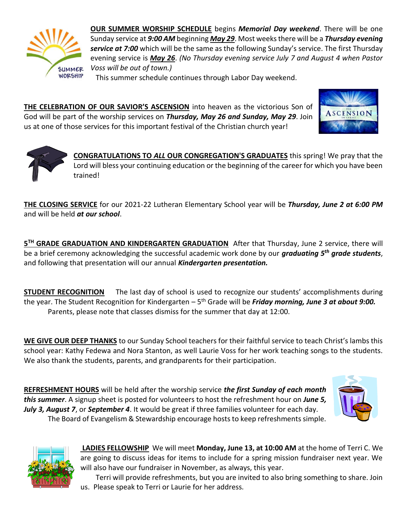

**OUR SUMMER WORSHIP SCHEDULE** begins *Memorial Day weekend*. There will be one Sunday service at *9:00 AM* beginning *May 29*. Most weeks there will be a *Thursday evening service at 7:00* which will be the same as the following Sunday's service. The first Thursday evening service is *May 26*. *(No Thursday evening service July 7 and August 4 when Pastor Voss will be out of town.)*

This summer schedule continues through Labor Day weekend.

**THE CELEBRATION OF OUR SAVIOR'S ASCENSION** into heaven as the victorious Son of God will be part of the worship services on *Thursday, May 26 and Sunday, May 29*. Join us at one of those services for this important festival of the Christian church year!





**CONGRATULATIONS TO** *ALL* **OUR CONGREGATION'S GRADUATES** this spring! We pray that the Lord will bless your continuing education or the beginning of the career for which you have been trained!

**THE CLOSING SERVICE** for our 2021-22 Lutheran Elementary School year will be *Thursday, June 2 at 6:00 PM*  and will be held *at our school*.

**5 TH GRADE GRADUATION AND KINDERGARTEN GRADUATION** After that Thursday, June 2 service, there will be a brief ceremony acknowledging the successful academic work done by our *graduating 5th grade students*, and following that presentation will our annual *Kindergarten presentation.*

**STUDENT RECOGNITION** The last day of school is used to recognize our students' accomplishments during the year. The Student Recognition for Kindergarten – 5<sup>th</sup> Grade will be *Friday morning, June 3 at about 9:00.* Parents, please note that classes dismiss for the summer that day at 12:00.

**WE GIVE OUR DEEP THANKS** to our Sunday School teachers for their faithful service to teach Christ's lambs this school year: Kathy Fedewa and Nora Stanton, as well Laurie Voss for her work teaching songs to the students. We also thank the students, parents, and grandparents for their participation.

**REFRESHMENT HOURS** will be held after the worship service *the first Sunday of each month this summer*. A signup sheet is posted for volunteers to host the refreshment hour on *June 5, July 3, August 7*, or *September 4*. It would be great if three families volunteer for each day. The Board of Evangelism & Stewardship encourage hosts to keep refreshments simple.





**LADIES FELLOWSHIP** We will meet **Monday, June 13, at 10:00 AM** at the home of Terri C. We are going to discuss ideas for items to include for a spring mission fundraiser next year. We will also have our fundraiser in November, as always, this year.

Terri will provide refreshments, but you are invited to also bring something to share. Join us. Please speak to Terri or Laurie for her address.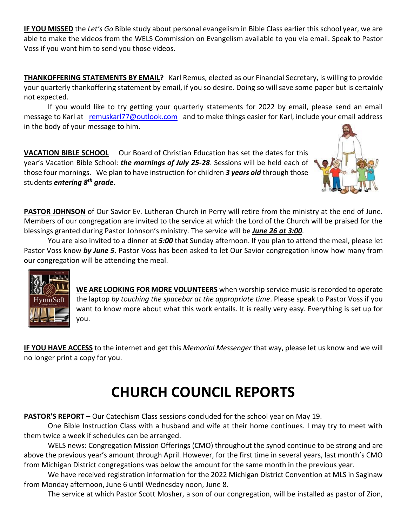**IF YOU MISSED** the *Let's Go* Bible study about personal evangelism in Bible Class earlier this school year, we are able to make the videos from the WELS Commission on Evangelism available to you via email. Speak to Pastor Voss if you want him to send you those videos.

**THANKOFFERING STATEMENTS BY EMAIL?** Karl Remus, elected as our Financial Secretary, is willing to provide your quarterly thankoffering statement by email, if you so desire. Doing so will save some paper but is certainly not expected.

If you would like to try getting your quarterly statements for 2022 by email, please send an email message to Karl at [remuskarl77@outlook.com](mailto:remuskarl77@outlook.com) and to make things easier for Karl, include your email address in the body of your message to him.

**VACATION BIBLE SCHOOL** Our Board of Christian Education has set the dates for this year's Vacation Bible School: *the mornings of July 25-28*. Sessions will be held each of those four mornings. We plan to have instruction for children *3 years old* through those students *entering 8th grade*.



PASTOR JOHNSON of Our Savior Ev. Lutheran Church in Perry will retire from the ministry at the end of June. Members of our congregation are invited to the service at which the Lord of the Church will be praised for the blessings granted during Pastor Johnson's ministry. The service will be *June 26 at 3:00.* 

You are also invited to a dinner at *5:00* that Sunday afternoon. If you plan to attend the meal, please let Pastor Voss know *by June 5*. Pastor Voss has been asked to let Our Savior congregation know how many from our congregation will be attending the meal.



**WE ARE LOOKING FOR MORE VOLUNTEERS** when worship service music is recorded to operate the laptop *by touching the spacebar at the appropriate time*. Please speak to Pastor Voss if you want to know more about what this work entails. It is really very easy. Everything is set up for you.

**IF YOU HAVE ACCESS** to the internet and get this *Memorial Messenger* that way, please let us know and we will no longer print a copy for you.

# **CHURCH COUNCIL REPORTS**

**PASTOR'S REPORT** – Our Catechism Class sessions concluded for the school year on May 19.

One Bible Instruction Class with a husband and wife at their home continues. I may try to meet with them twice a week if schedules can be arranged.

WELS news: Congregation Mission Offerings (CMO) throughout the synod continue to be strong and are above the previous year's amount through April. However, for the first time in several years, last month's CMO from Michigan District congregations was below the amount for the same month in the previous year.

We have received registration information for the 2022 Michigan District Convention at MLS in Saginaw from Monday afternoon, June 6 until Wednesday noon, June 8.

The service at which Pastor Scott Mosher, a son of our congregation, will be installed as pastor of Zion,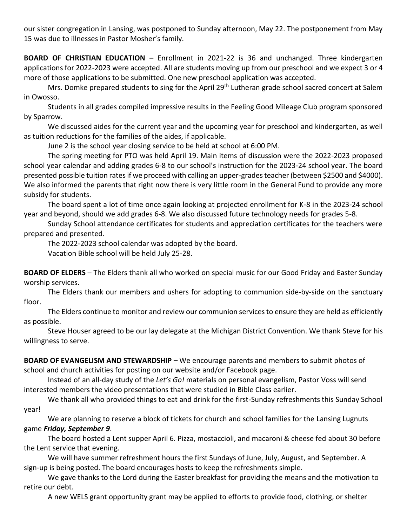our sister congregation in Lansing, was postponed to Sunday afternoon, May 22. The postponement from May 15 was due to illnesses in Pastor Mosher's family.

**BOARD OF CHRISTIAN EDUCATION** – Enrollment in 2021-22 is 36 and unchanged. Three kindergarten applications for 2022-2023 were accepted. All are students moving up from our preschool and we expect 3 or 4 more of those applications to be submitted. One new preschool application was accepted.

Mrs. Domke prepared students to sing for the April 29<sup>th</sup> Lutheran grade school sacred concert at Salem in Owosso.

Students in all grades compiled impressive results in the Feeling Good Mileage Club program sponsored by Sparrow.

We discussed aides for the current year and the upcoming year for preschool and kindergarten, as well as tuition reductions for the families of the aides, if applicable.

June 2 is the school year closing service to be held at school at 6:00 PM.

The spring meeting for PTO was held April 19. Main items of discussion were the 2022-2023 proposed school year calendar and adding grades 6-8 to our school's instruction for the 2023-24 school year. The board presented possible tuition rates if we proceed with calling an upper-grades teacher (between \$2500 and \$4000). We also informed the parents that right now there is very little room in the General Fund to provide any more subsidy for students.

The board spent a lot of time once again looking at projected enrollment for K-8 in the 2023-24 school year and beyond, should we add grades 6-8. We also discussed future technology needs for grades 5-8.

Sunday School attendance certificates for students and appreciation certificates for the teachers were prepared and presented.

The 2022-2023 school calendar was adopted by the board.

Vacation Bible school will be held July 25-28.

**BOARD OF ELDERS** – The Elders thank all who worked on special music for our Good Friday and Easter Sunday worship services.

The Elders thank our members and ushers for adopting to communion side-by-side on the sanctuary floor.

The Elders continue to monitor and review our communion services to ensure they are held as efficiently as possible.

Steve Houser agreed to be our lay delegate at the Michigan District Convention. We thank Steve for his willingness to serve.

**BOARD OF EVANGELISM AND STEWARDSHIP –** We encourage parents and members to submit photos of school and church activities for posting on our website and/or Facebook page.

Instead of an all-day study of the *Let's Go!* materials on personal evangelism, Pastor Voss will send interested members the video presentations that were studied in Bible Class earlier.

We thank all who provided things to eat and drink for the first-Sunday refreshments this Sunday School year!

We are planning to reserve a block of tickets for church and school families for the Lansing Lugnuts game *Friday, September 9*.

The board hosted a Lent supper April 6. Pizza, mostaccioli, and macaroni & cheese fed about 30 before the Lent service that evening.

We will have summer refreshment hours the first Sundays of June, July, August, and September. A sign-up is being posted. The board encourages hosts to keep the refreshments simple.

We gave thanks to the Lord during the Easter breakfast for providing the means and the motivation to retire our debt.

A new WELS grant opportunity grant may be applied to efforts to provide food, clothing, or shelter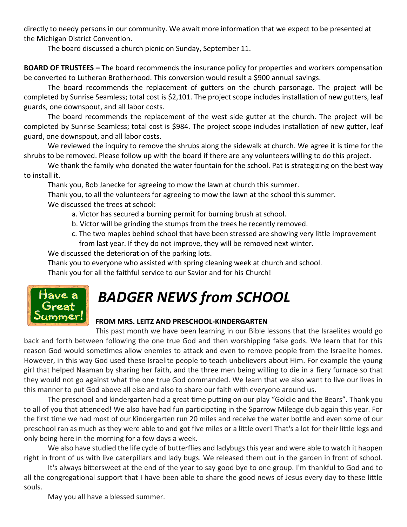directly to needy persons in our community. We await more information that we expect to be presented at the Michigan District Convention.

The board discussed a church picnic on Sunday, September 11.

**BOARD OF TRUSTEES –** The board recommends the insurance policy for properties and workers compensation be converted to Lutheran Brotherhood. This conversion would result a \$900 annual savings.

The board recommends the replacement of gutters on the church parsonage. The project will be completed by Sunrise Seamless; total cost is \$2,101. The project scope includes installation of new gutters, leaf guards, one downspout, and all labor costs.

The board recommends the replacement of the west side gutter at the church. The project will be completed by Sunrise Seamless; total cost is \$984. The project scope includes installation of new gutter, leaf guard, one downspout, and all labor costs.

We reviewed the inquiry to remove the shrubs along the sidewalk at church. We agree it is time for the shrubs to be removed. Please follow up with the board if there are any volunteers willing to do this project.

We thank the family who donated the water fountain for the school. Pat is strategizing on the best way to install it.

Thank you, Bob Janecke for agreeing to mow the lawn at church this summer.

Thank you, to all the volunteers for agreeing to mow the lawn at the school this summer. We discussed the trees at school:

- a. Victor has secured a burning permit for burning brush at school.
- b. Victor will be grinding the stumps from the trees he recently removed.
- c. The two maples behind school that have been stressed are showing very little improvement from last year. If they do not improve, they will be removed next winter.

We discussed the deterioration of the parking lots.

Thank you to everyone who assisted with spring cleaning week at church and school.

Thank you for all the faithful service to our Savior and for his Church!



# *BADGER NEWS from SCHOOL*

### **FROM MRS. LEITZ AND PRESCHOOL-KINDERGARTEN**

This past month we have been learning in our Bible lessons that the Israelites would go back and forth between following the one true God and then worshipping false gods. We learn that for this reason God would sometimes allow enemies to attack and even to remove people from the Israelite homes. However, in this way God used these Israelite people to teach unbelievers about Him. For example the young girl that helped Naaman by sharing her faith, and the three men being willing to die in a fiery furnace so that they would not go against what the one true God commanded. We learn that we also want to live our lives in this manner to put God above all else and also to share our faith with everyone around us.

The preschool and kindergarten had a great time putting on our play "Goldie and the Bears". Thank you to all of you that attended! We also have had fun participating in the Sparrow Mileage club again this year. For the first time we had most of our Kindergarten run 20 miles and receive the water bottle and even some of our preschool ran as much as they were able to and got five miles or a little over! That's a lot for their little legs and only being here in the morning for a few days a week.

We also have studied the life cycle of butterflies and ladybugs this year and were able to watch it happen right in front of us with live caterpillars and lady bugs. We released them out in the garden in front of school.

It's always bittersweet at the end of the year to say good bye to one group. I'm thankful to God and to all the congregational support that I have been able to share the good news of Jesus every day to these little souls.

May you all have a blessed summer.